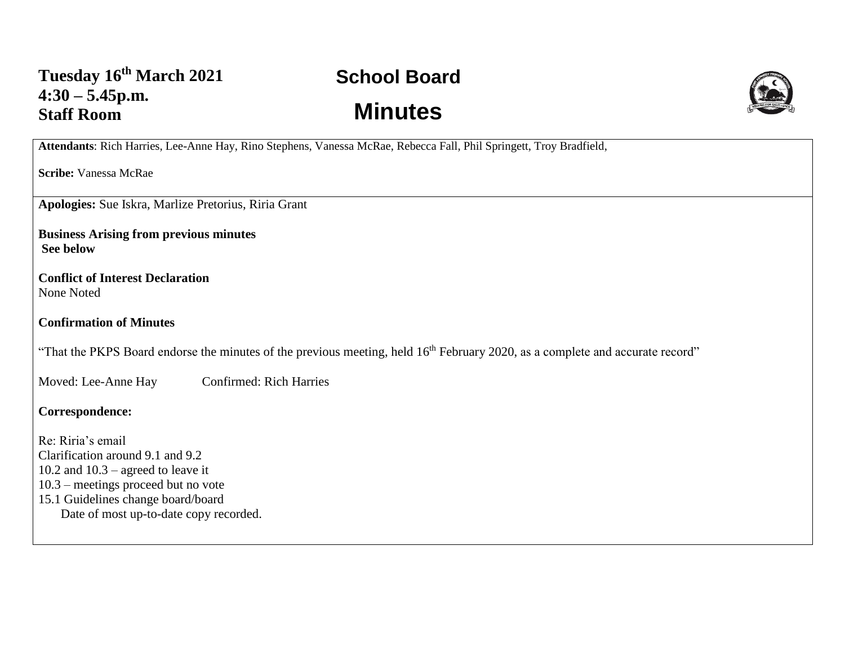## **School Board Minutes**



**Attendants**: Rich Harries, Lee-Anne Hay, Rino Stephens, Vanessa McRae, Rebecca Fall, Phil Springett, Troy Bradfield,

**Scribe:** Vanessa McRae

**Apologies:** Sue Iskra, Marlize Pretorius, Riria Grant

**Business Arising from previous minutes See below**

**Conflict of Interest Declaration** None Noted

**Confirmation of Minutes** 

"That the PKPS Board endorse the minutes of the previous meeting, held 16<sup>th</sup> February 2020, as a complete and accurate record"

Moved: Lee-Anne Hay Confirmed: Rich Harries

**Correspondence:** 

Re: Riria's email Clarification around 9.1 and 9.2 10.2 and  $10.3$  – agreed to leave it 10.3 – meetings proceed but no vote 15.1 Guidelines change board/board Date of most up-to-date copy recorded.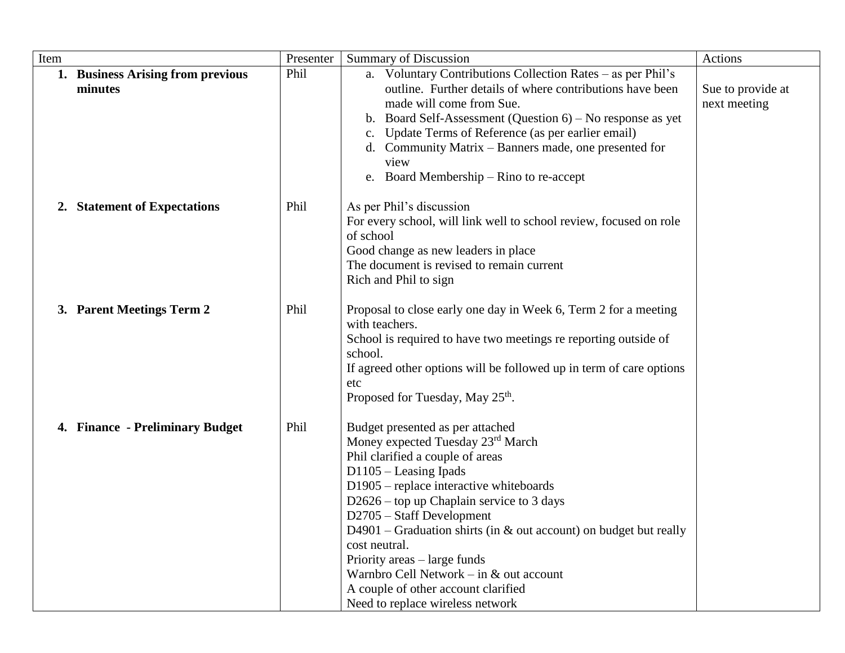| Item                                         | Presenter | <b>Summary of Discussion</b>                                                                                                                                                                                                                                                                                                                                                                                                                                                                               | Actions                           |
|----------------------------------------------|-----------|------------------------------------------------------------------------------------------------------------------------------------------------------------------------------------------------------------------------------------------------------------------------------------------------------------------------------------------------------------------------------------------------------------------------------------------------------------------------------------------------------------|-----------------------------------|
| 1. Business Arising from previous<br>minutes | Phil      | a. Voluntary Contributions Collection Rates - as per Phil's<br>outline. Further details of where contributions have been<br>made will come from Sue.<br>b. Board Self-Assessment (Question 6) - No response as yet<br>Update Terms of Reference (as per earlier email)<br>c.<br>d. Community Matrix – Banners made, one presented for<br>view<br>e. Board Membership – Rino to re-accept                                                                                                                   | Sue to provide at<br>next meeting |
| 2. Statement of Expectations                 | Phil      | As per Phil's discussion<br>For every school, will link well to school review, focused on role<br>of school<br>Good change as new leaders in place<br>The document is revised to remain current<br>Rich and Phil to sign                                                                                                                                                                                                                                                                                   |                                   |
| 3. Parent Meetings Term 2                    | Phil      | Proposal to close early one day in Week 6, Term 2 for a meeting<br>with teachers.<br>School is required to have two meetings re reporting outside of<br>school.<br>If agreed other options will be followed up in term of care options<br>etc<br>Proposed for Tuesday, May 25 <sup>th</sup> .                                                                                                                                                                                                              |                                   |
| 4. Finance - Preliminary Budget              | Phil      | Budget presented as per attached<br>Money expected Tuesday 23rd March<br>Phil clarified a couple of areas<br>D1105 - Leasing Ipads<br>D1905 – replace interactive whiteboards<br>$D2626$ – top up Chaplain service to 3 days<br>$D2705 - Staff Development$<br>D4901 – Graduation shirts (in $\&$ out account) on budget but really<br>cost neutral.<br>Priority areas – large funds<br>Warnbro Cell Network – in & out account<br>A couple of other account clarified<br>Need to replace wireless network |                                   |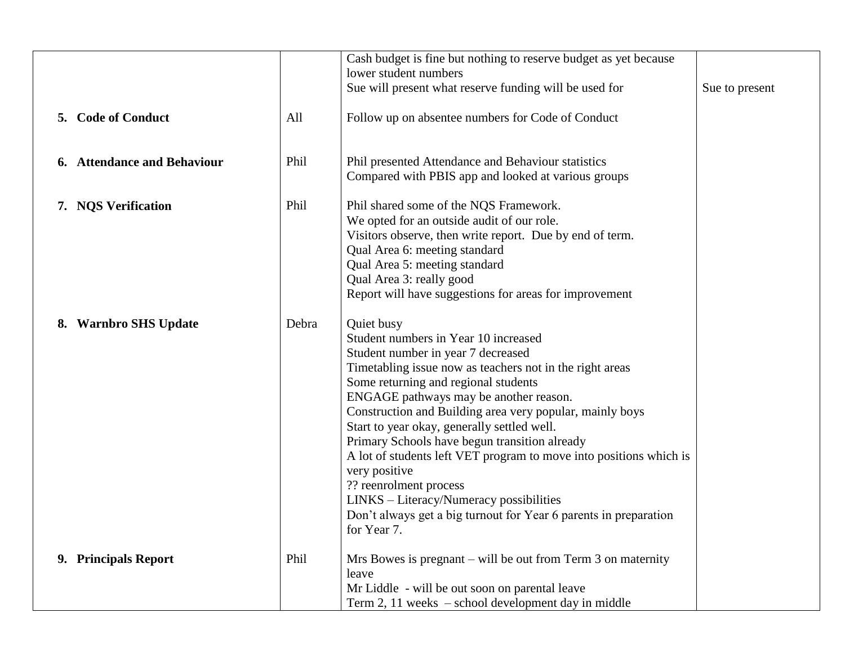|    | 5. Code of Conduct<br>6. Attendance and Behaviour | All<br>Phil | Cash budget is fine but nothing to reserve budget as yet because<br>lower student numbers<br>Sue will present what reserve funding will be used for<br>Follow up on absentee numbers for Code of Conduct<br>Phil presented Attendance and Behaviour statistics<br>Compared with PBIS app and looked at various groups                                                                                                                                                                                                                                                                                                                             | Sue to present |
|----|---------------------------------------------------|-------------|---------------------------------------------------------------------------------------------------------------------------------------------------------------------------------------------------------------------------------------------------------------------------------------------------------------------------------------------------------------------------------------------------------------------------------------------------------------------------------------------------------------------------------------------------------------------------------------------------------------------------------------------------|----------------|
|    | 7. NQS Verification                               | Phil        | Phil shared some of the NQS Framework.<br>We opted for an outside audit of our role.<br>Visitors observe, then write report. Due by end of term.<br>Qual Area 6: meeting standard<br>Qual Area 5: meeting standard<br>Qual Area 3: really good<br>Report will have suggestions for areas for improvement                                                                                                                                                                                                                                                                                                                                          |                |
| 8. | <b>Warnbro SHS Update</b>                         | Debra       | Quiet busy<br>Student numbers in Year 10 increased<br>Student number in year 7 decreased<br>Timetabling issue now as teachers not in the right areas<br>Some returning and regional students<br>ENGAGE pathways may be another reason.<br>Construction and Building area very popular, mainly boys<br>Start to year okay, generally settled well.<br>Primary Schools have begun transition already<br>A lot of students left VET program to move into positions which is<br>very positive<br>?? reenrolment process<br>LINKS - Literacy/Numeracy possibilities<br>Don't always get a big turnout for Year 6 parents in preparation<br>for Year 7. |                |
|    | 9. Principals Report                              | Phil        | Mrs Bowes is pregnant $-$ will be out from Term 3 on maternity<br>leave<br>Mr Liddle - will be out soon on parental leave<br>Term 2, 11 weeks - school development day in middle                                                                                                                                                                                                                                                                                                                                                                                                                                                                  |                |